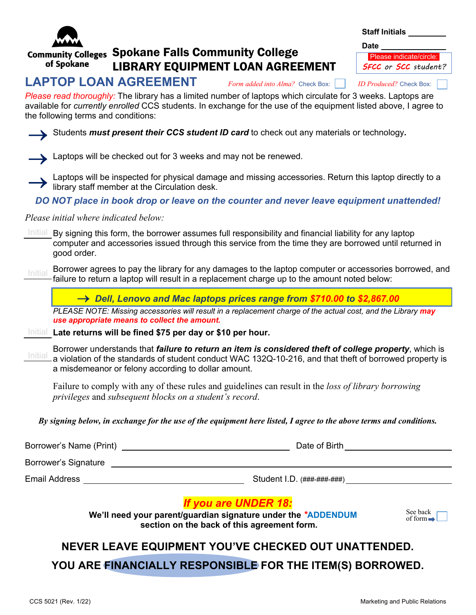

#### Community Colleges Spokane Falls Community College of Spokane LIBRARY EQUIPMENT LOAN AGREEMENT

| <b>Staff Initials</b><br><b>Date</b>                          |  |  |
|---------------------------------------------------------------|--|--|
| Please indicate/circle:<br><b>SFCC</b> or <b>SCC</b> student? |  |  |

# **LAPTOP LOAN AGREEMENT** *Form added into Alma?* Check Box:*ID Produced?* Check Box:

*Please read thoroughly:* The library has a limited number of laptops which circulate for 3 weeks. Laptops are available for *currently enrolled* CCS students. In exchange for the use of the equipment listed above, I agree to the following terms and conditions:

Students *must present their CCS student ID card* to check out any materials or technology.

- Laptops will be checked out for 3 weeks and may not be renewed.
- Laptops will be inspected for physical damage and missing accessories. Return this laptop directly to a library staff member at the Circulation desk.
- *DO NOT place in book drop or leave on the counter and never leave equipment unattended!*

### *Please initial where indicated below:*

- Initial By signing this form, the borrower assumes full responsibility and financial liability for any laptop computer and accessories issued through this service from the time they are borrowed until returned in good order.
- Initial Borrower agrees to pay the library for any damages to the laptop computer or accessories borrowed, and failure to return a laptop will result in a replacement charge up to the amount noted below:

® *Dell, Lenovo and Mac laptops prices range from \$710.00 to \$2,867.00*

*PLEASE NOTE: Missing accessories will result in a replacement charge of the actual cost, and the Library may use appropriate means to collect the amount.*

### Initial **Late returns will be fined \$75 per day or \$10 per hour.**

Initial Borrower understands that *failure to return an item is considered theft of college property*, which is a violation of the standards of student conduct WAC 132Q-10-216, and that theft of borrowed property is a misdemeanor or felony according to dollar amount.

Failure to comply with any of these rules and guidelines can result in the *loss of library borrowing privileges* and *subsequent blocks on a student's record*.

*By signing below, in exchange for the use of the equipment here listed, I agree to the above terms and conditions.*

| Borrower's Name (Print) | Date of Birth               |
|-------------------------|-----------------------------|
| Borrower's Signature    |                             |
| Email Address           | Student I.D. (###-###-####) |

### *If you are UNDER 18:*

 **We'll need your parent/guardian signature under the** *\****ADDENDUM section on the back of this agreement form.**



## **NEVER LEAVE EQUIPMENT YOU'VE CHECKED OUT UNATTENDED.**

**YOU ARE FINANCIALLY RESPONSIBLE FOR THE ITEM(S) BORROWED.**